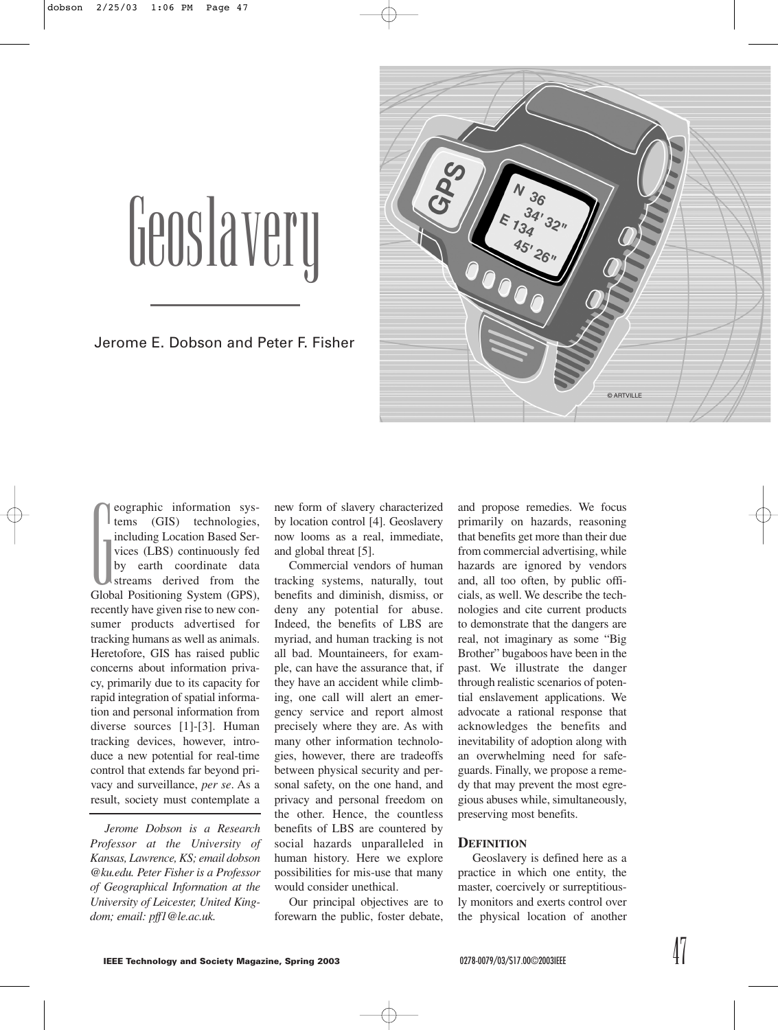# Geoslavery

Jerome E. Dobson and Peter F. Fisher



**CONFIDENTIFY CONFIDENT**<br>
Technologies,<br>
including Location Based Services (LBS) continuously fed<br>
by earth coordinate data<br>
streams derived from the<br>
Global Positioning System (GPS), eographic information systems (GIS) technologies, including Location Based Services (LBS) continuously fed by earth coordinate data streams derived from the recently have given rise to new consumer products advertised for tracking humans as well as animals. Heretofore, GIS has raised public concerns about information privacy, primarily due to its capacity for rapid integration of spatial information and personal information from diverse sources [1]-[3]. Human tracking devices, however, introduce a new potential for real-time control that extends far beyond privacy and surveillance, *per se*. As a result, society must contemplate a

*Jerome Dobson is a Research Professor at the University of Kansas, Lawrence, KS; email dobson @ku.edu. Peter Fisher is a Professor of Geographical Information at the University of Leicester, United Kingdom; email: pff1@le.ac.uk.*

new form of slavery characterized by location control [4]. Geoslavery now looms as a real, immediate, and global threat [5].

Commercial vendors of human tracking systems, naturally, tout benefits and diminish, dismiss, or deny any potential for abuse. Indeed, the benefits of LBS are myriad, and human tracking is not all bad. Mountaineers, for example, can have the assurance that, if they have an accident while climbing, one call will alert an emergency service and report almost precisely where they are. As with many other information technologies, however, there are tradeoffs between physical security and personal safety, on the one hand, and privacy and personal freedom on the other. Hence, the countless benefits of LBS are countered by social hazards unparalleled in human history. Here we explore possibilities for mis-use that many would consider unethical.

Our principal objectives are to forewarn the public, foster debate, and propose remedies. We focus primarily on hazards, reasoning that benefits get more than their due from commercial advertising, while hazards are ignored by vendors and, all too often, by public officials, as well. We describe the technologies and cite current products to demonstrate that the dangers are real, not imaginary as some "Big Brother" bugaboos have been in the past. We illustrate the danger through realistic scenarios of potential enslavement applications. We advocate a rational response that acknowledges the benefits and inevitability of adoption along with an overwhelming need for safeguards. Finally, we propose a remedy that may prevent the most egregious abuses while, simultaneously, preserving most benefits.

# **DEFINITION**

Geoslavery is defined here as a practice in which one entity, the master, coercively or surreptitiously monitors and exerts control over the physical location of another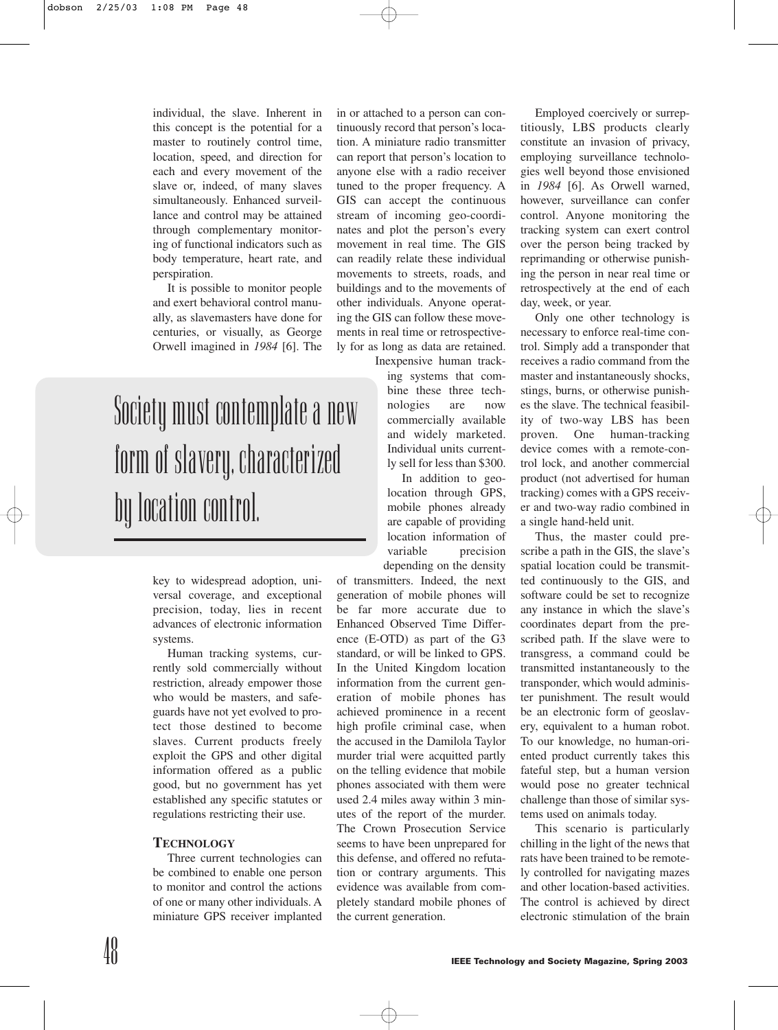individual, the slave. Inherent in this concept is the potential for a master to routinely control time, location, speed, and direction for each and every movement of the slave or, indeed, of many slaves simultaneously. Enhanced surveillance and control may be attained through complementary monitoring of functional indicators such as body temperature, heart rate, and perspiration.

It is possible to monitor people and exert behavioral control manually, as slavemasters have done for centuries, or visually, as George Orwell imagined in *1984* [6]. The

# Society must contemplate a new form of slavery, characterized by location control.

key to widespread adoption, universal coverage, and exceptional precision, today, lies in recent advances of electronic information systems.

Human tracking systems, currently sold commercially without restriction, already empower those who would be masters, and safeguards have not yet evolved to protect those destined to become slaves. Current products freely exploit the GPS and other digital information offered as a public good, but no government has yet established any specific statutes or regulations restricting their use.

# **TECHNOLOGY**

Three current technologies can be combined to enable one person to monitor and control the actions of one or many other individuals. A miniature GPS receiver implanted

in or attached to a person can continuously record that person's location. A miniature radio transmitter can report that person's location to anyone else with a radio receiver tuned to the proper frequency. A GIS can accept the continuous stream of incoming geo-coordinates and plot the person's every movement in real time. The GIS can readily relate these individual movements to streets, roads, and buildings and to the movements of other individuals. Anyone operating the GIS can follow these movements in real time or retrospectively for as long as data are retained. Inexpensive human track-

ing systems that combine these three technologies are now commercially available and widely marketed. Individual units currently sell for less than \$300.

In addition to geolocation through GPS, mobile phones already are capable of providing location information of variable precision depending on the density

of transmitters. Indeed, the next generation of mobile phones will be far more accurate due to Enhanced Observed Time Difference (E-OTD) as part of the G3 standard, or will be linked to GPS. In the United Kingdom location information from the current generation of mobile phones has achieved prominence in a recent high profile criminal case, when the accused in the Damilola Taylor murder trial were acquitted partly on the telling evidence that mobile phones associated with them were used 2.4 miles away within 3 minutes of the report of the murder. The Crown Prosecution Service seems to have been unprepared for this defense, and offered no refutation or contrary arguments. This evidence was available from completely standard mobile phones of the current generation.

Employed coercively or surreptitiously, LBS products clearly constitute an invasion of privacy, employing surveillance technologies well beyond those envisioned in *1984* [6]. As Orwell warned, however, surveillance can confer control. Anyone monitoring the tracking system can exert control over the person being tracked by reprimanding or otherwise punishing the person in near real time or retrospectively at the end of each day, week, or year.

Only one other technology is necessary to enforce real-time control. Simply add a transponder that receives a radio command from the master and instantaneously shocks, stings, burns, or otherwise punishes the slave. The technical feasibility of two-way LBS has been proven. One human-tracking device comes with a remote-control lock, and another commercial product (not advertised for human tracking) comes with a GPS receiver and two-way radio combined in a single hand-held unit.

Thus, the master could prescribe a path in the GIS, the slave's spatial location could be transmitted continuously to the GIS, and software could be set to recognize any instance in which the slave's coordinates depart from the prescribed path. If the slave were to transgress, a command could be transmitted instantaneously to the transponder, which would administer punishment. The result would be an electronic form of geoslavery, equivalent to a human robot. To our knowledge, no human-oriented product currently takes this fateful step, but a human version would pose no greater technical challenge than those of similar systems used on animals today.

This scenario is particularly chilling in the light of the news that rats have been trained to be remotely controlled for navigating mazes and other location-based activities. The control is achieved by direct electronic stimulation of the brain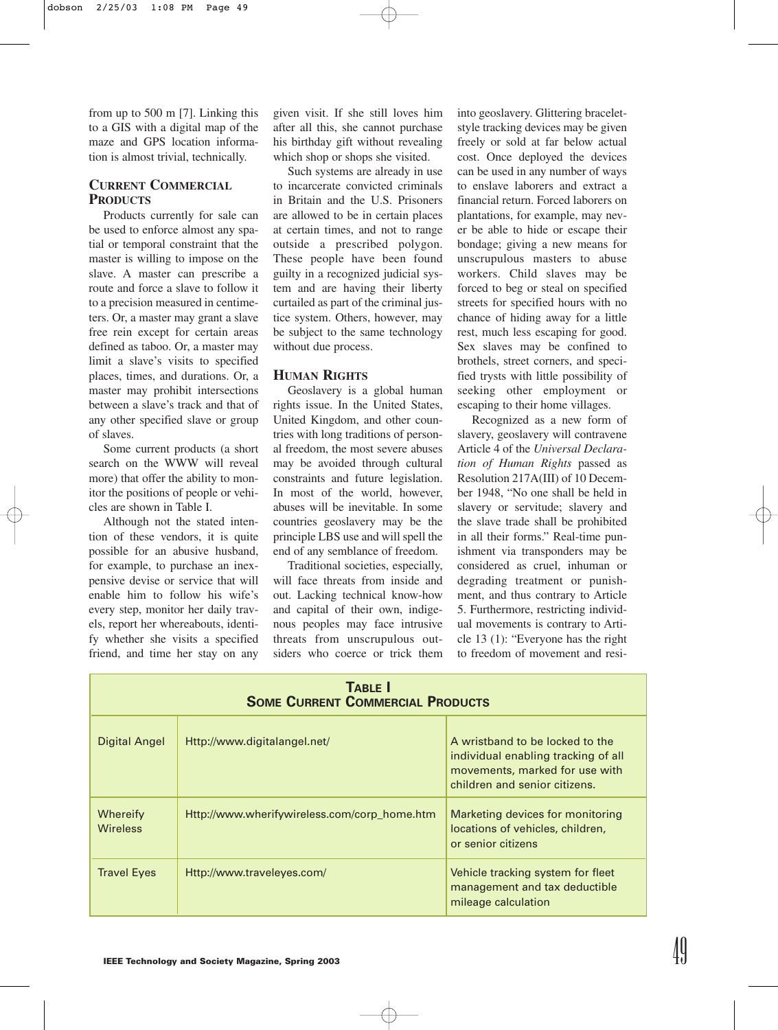from up to 500 m [7]. Linking this to a GIS with a digital map of the maze and GPS location information is almost trivial, technically.

#### **CURRENT COMMERCIAL PRODUCTS**

Products currently for sale can be used to enforce almost any spatial or temporal constraint that the master is willing to impose on the slave. A master can prescribe a route and force a slave to follow it to a precision measured in centimeters. Or, a master may grant a slave free rein except for certain areas defined as taboo. Or, a master may limit a slave's visits to specified places, times, and durations. Or, a master may prohibit intersections between a slave's track and that of any other specified slave or group of slaves.

Some current products (a short search on the WWW will reveal more) that offer the ability to monitor the positions of people or vehicles are shown in Table I.

Although not the stated intention of these vendors, it is quite possible for an abusive husband, for example, to purchase an inexpensive devise or service that will enable him to follow his wife's every step, monitor her daily travels, report her whereabouts, identify whether she visits a specified friend, and time her stay on any

given visit. If she still loves him after all this, she cannot purchase his birthday gift without revealing which shop or shops she visited.

Such systems are already in use to incarcerate convicted criminals in Britain and the U.S. Prisoners are allowed to be in certain places at certain times, and not to range outside a prescribed polygon. These people have been found guilty in a recognized judicial system and are having their liberty curtailed as part of the criminal justice system. Others, however, may be subject to the same technology without due process.

### **HUMAN RIGHTS**

Geoslavery is a global human rights issue. In the United States, United Kingdom, and other countries with long traditions of personal freedom, the most severe abuses may be avoided through cultural constraints and future legislation. In most of the world, however, abuses will be inevitable. In some countries geoslavery may be the principle LBS use and will spell the end of any semblance of freedom.

Traditional societies, especially, will face threats from inside and out. Lacking technical know-how and capital of their own, indigenous peoples may face intrusive threats from unscrupulous outsiders who coerce or trick them into geoslavery. Glittering braceletstyle tracking devices may be given freely or sold at far below actual cost. Once deployed the devices can be used in any number of ways to enslave laborers and extract a financial return. Forced laborers on plantations, for example, may never be able to hide or escape their bondage; giving a new means for unscrupulous masters to abuse workers. Child slaves may be forced to beg or steal on specified streets for specified hours with no chance of hiding away for a little rest, much less escaping for good. Sex slaves may be confined to brothels, street corners, and specified trysts with little possibility of seeking other employment or escaping to their home villages.

Recognized as a new form of slavery, geoslavery will contravene Article 4 of the *Universal Declaration of Human Rights* passed as Resolution 217A(III) of 10 December 1948, "No one shall be held in slavery or servitude; slavery and the slave trade shall be prohibited in all their forms." Real-time punishment via transponders may be considered as cruel, inhuman or degrading treatment or punishment, and thus contrary to Article 5. Furthermore, restricting individual movements is contrary to Article 13 (1): "Everyone has the right to freedom of movement and resi-

| <b>TABLE</b> I<br><b>SOME CURRENT COMMERCIAL PRODUCTS</b> |                                              |                                                                                                                                           |
|-----------------------------------------------------------|----------------------------------------------|-------------------------------------------------------------------------------------------------------------------------------------------|
| Digital Angel                                             | Http://www.digitalangel.net/                 | A wristband to be locked to the<br>individual enabling tracking of all<br>movements, marked for use with<br>children and senior citizens. |
| Whereify<br><b>Wireless</b>                               | Http://www.wherifywireless.com/corp_home.htm | Marketing devices for monitoring<br>locations of vehicles, children,<br>or senior citizens                                                |
| <b>Travel Eyes</b>                                        | Http://www.traveleyes.com/                   | Vehicle tracking system for fleet<br>management and tax deductible<br>mileage calculation                                                 |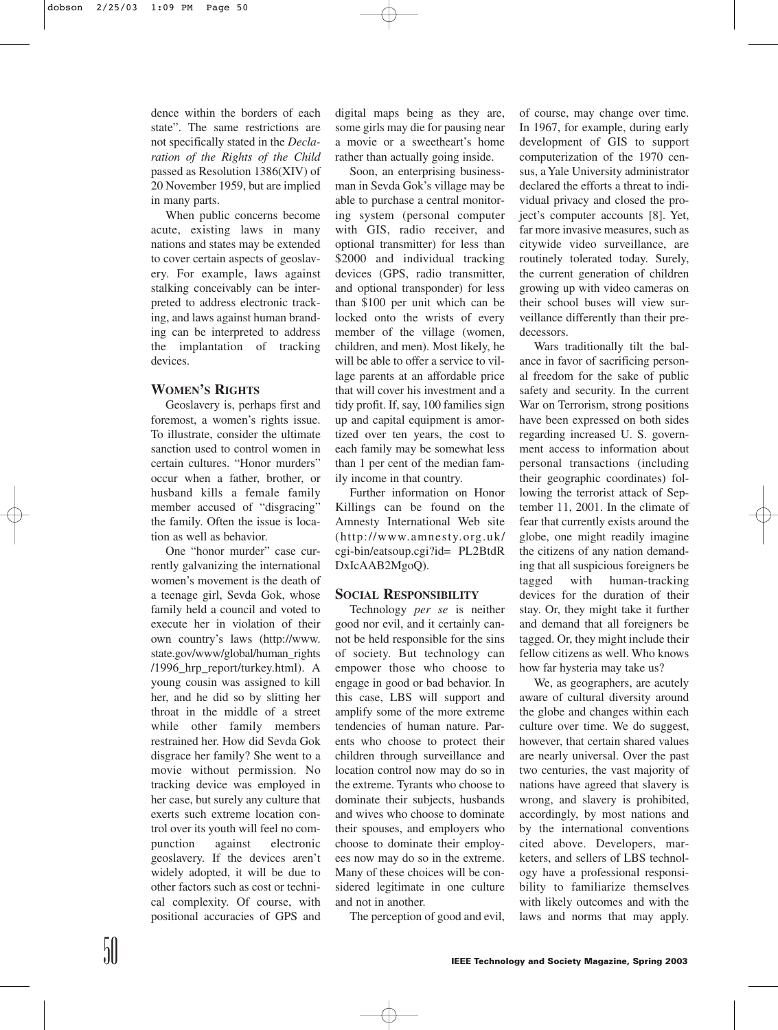dence within the borders of each state". The same restrictions are not specifically stated in the *Declaration of the Rights of the Child* passed as Resolution 1386(XIV) of 20 November 1959, but are implied in many parts.

When public concerns become acute, existing laws in many nations and states may be extended to cover certain aspects of geoslavery. For example, laws against stalking conceivably can be interpreted to address electronic tracking, and laws against human branding can be interpreted to address the implantation of tracking devices.

# **WOMEN'S RIGHTS**

Geoslavery is, perhaps first and foremost, a women's rights issue. To illustrate, consider the ultimate sanction used to control women in certain cultures. "Honor murders" occur when a father, brother, or husband kills a female family member accused of "disgracing" the family. Often the issue is location as well as behavior.

One "honor murder" case currently galvanizing the international women's movement is the death of a teenage girl, Sevda Gok, whose family held a council and voted to execute her in violation of their own country's laws (http://www. state.gov/www/global/human\_rights /1996\_hrp\_report/turkey.html). A young cousin was assigned to kill her, and he did so by slitting her throat in the middle of a street while other family members restrained her. How did Sevda Gok disgrace her family? She went to a movie without permission. No tracking device was employed in her case, but surely any culture that exerts such extreme location control over its youth will feel no compunction against electronic geoslavery. If the devices aren't widely adopted, it will be due to other factors such as cost or technical complexity. Of course, with positional accuracies of GPS and

digital maps being as they are, some girls may die for pausing near a movie or a sweetheart's home rather than actually going inside.

Soon, an enterprising businessman in Sevda Gok's village may be able to purchase a central monitoring system (personal computer with GIS, radio receiver, and optional transmitter) for less than \$2000 and individual tracking devices (GPS, radio transmitter, and optional transponder) for less than \$100 per unit which can be locked onto the wrists of every member of the village (women, children, and men). Most likely, he will be able to offer a service to village parents at an affordable price that will cover his investment and a tidy profit. If, say, 100 families sign up and capital equipment is amortized over ten years, the cost to each family may be somewhat less than 1 per cent of the median family income in that country.

Further information on Honor Killings can be found on the Amnesty International Web site (http://www.amnesty.org.uk/ cgi-bin/eatsoup.cgi?id= PL2BtdR DxIcAAB2MgoQ).

#### **SOCIAL RESPONSIBILITY**

Technology *per se* is neither good nor evil, and it certainly cannot be held responsible for the sins of society. But technology can empower those who choose to engage in good or bad behavior. In this case, LBS will support and amplify some of the more extreme tendencies of human nature. Parents who choose to protect their children through surveillance and location control now may do so in the extreme. Tyrants who choose to dominate their subjects, husbands and wives who choose to dominate their spouses, and employers who choose to dominate their employees now may do so in the extreme. Many of these choices will be considered legitimate in one culture and not in another.

The perception of good and evil,

of course, may change over time. In 1967, for example, during early development of GIS to support computerization of the 1970 census, a Yale University administrator declared the efforts a threat to individual privacy and closed the project's computer accounts [8]. Yet, far more invasive measures, such as citywide video surveillance, are routinely tolerated today. Surely, the current generation of children growing up with video cameras on their school buses will view surveillance differently than their predecessors.

Wars traditionally tilt the balance in favor of sacrificing personal freedom for the sake of public safety and security. In the current War on Terrorism, strong positions have been expressed on both sides regarding increased U. S. government access to information about personal transactions (including their geographic coordinates) following the terrorist attack of September 11, 2001. In the climate of fear that currently exists around the globe, one might readily imagine the citizens of any nation demanding that all suspicious foreigners be tagged with human-tracking devices for the duration of their stay. Or, they might take it further and demand that all foreigners be tagged. Or, they might include their fellow citizens as well. Who knows how far hysteria may take us?

We, as geographers, are acutely aware of cultural diversity around the globe and changes within each culture over time. We do suggest, however, that certain shared values are nearly universal. Over the past two centuries, the vast majority of nations have agreed that slavery is wrong, and slavery is prohibited, accordingly, by most nations and by the international conventions cited above. Developers, marketers, and sellers of LBS technology have a professional responsibility to familiarize themselves with likely outcomes and with the laws and norms that may apply.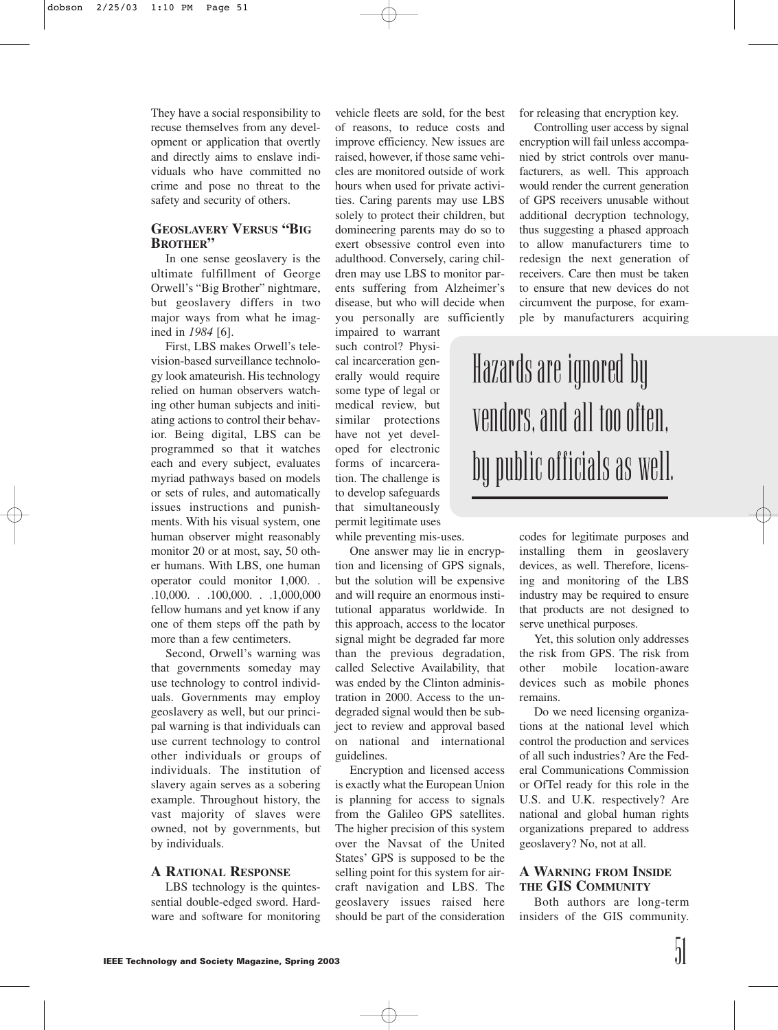They have a social responsibility to recuse themselves from any development or application that overtly and directly aims to enslave individuals who have committed no crime and pose no threat to the safety and security of others.

# **GEOSLAVERY VERSUS "BIG BROTHER"**

In one sense geoslavery is the ultimate fulfillment of George Orwell's "Big Brother" nightmare, but geoslavery differs in two major ways from what he imagined in *1984* [6].

First, LBS makes Orwell's television-based surveillance technology look amateurish. His technology relied on human observers watching other human subjects and initiating actions to control their behavior. Being digital, LBS can be programmed so that it watches each and every subject, evaluates myriad pathways based on models or sets of rules, and automatically issues instructions and punishments. With his visual system, one human observer might reasonably monitor 20 or at most, say, 50 other humans. With LBS, one human operator could monitor 1,000. . .10,000. . .100,000. . .1,000,000 fellow humans and yet know if any one of them steps off the path by more than a few centimeters.

Second, Orwell's warning was that governments someday may use technology to control individuals. Governments may employ geoslavery as well, but our principal warning is that individuals can use current technology to control other individuals or groups of individuals. The institution of slavery again serves as a sobering example. Throughout history, the vast majority of slaves were owned, not by governments, but by individuals.

#### **A RATIONAL RESPONSE**

LBS technology is the quintessential double-edged sword. Hardware and software for monitoring

vehicle fleets are sold, for the best of reasons, to reduce costs and improve efficiency. New issues are raised, however, if those same vehicles are monitored outside of work hours when used for private activities. Caring parents may use LBS solely to protect their children, but domineering parents may do so to exert obsessive control even into adulthood. Conversely, caring children may use LBS to monitor parents suffering from Alzheimer's disease, but who will decide when you personally are sufficiently

impaired to warrant such control? Physical incarceration generally would require some type of legal or medical review, but similar protections have not yet developed for electronic forms of incarceration. The challenge is to develop safeguards that simultaneously permit legitimate uses while preventing mis-uses.

One answer may lie in encryp-

tion and licensing of GPS signals, but the solution will be expensive and will require an enormous institutional apparatus worldwide. In this approach, access to the locator signal might be degraded far more than the previous degradation, called Selective Availability, that was ended by the Clinton administration in 2000. Access to the undegraded signal would then be subject to review and approval based on national and international guidelines.

Encryption and licensed access is exactly what the European Union is planning for access to signals from the Galileo GPS satellites. The higher precision of this system over the Navsat of the United States' GPS is supposed to be the selling point for this system for aircraft navigation and LBS. The geoslavery issues raised here should be part of the consideration for releasing that encryption key.

Controlling user access by signal encryption will fail unless accompanied by strict controls over manufacturers, as well. This approach would render the current generation of GPS receivers unusable without additional decryption technology, thus suggesting a phased approach to allow manufacturers time to redesign the next generation of receivers. Care then must be taken to ensure that new devices do not circumvent the purpose, for example by manufacturers acquiring

# Hazards are ignored by vendors, and all too often, by public officials as well.

codes for legitimate purposes and installing them in geoslavery devices, as well. Therefore, licensing and monitoring of the LBS industry may be required to ensure that products are not designed to serve unethical purposes.

Yet, this solution only addresses the risk from GPS. The risk from other mobile location-aware devices such as mobile phones remains.

Do we need licensing organizations at the national level which control the production and services of all such industries? Are the Federal Communications Commission or OfTel ready for this role in the U.S. and U.K. respectively? Are national and global human rights organizations prepared to address geoslavery? No, not at all.

#### **A WARNING FROM INSIDE THE GIS COMMUNITY**

Both authors are long-term insiders of the GIS community.